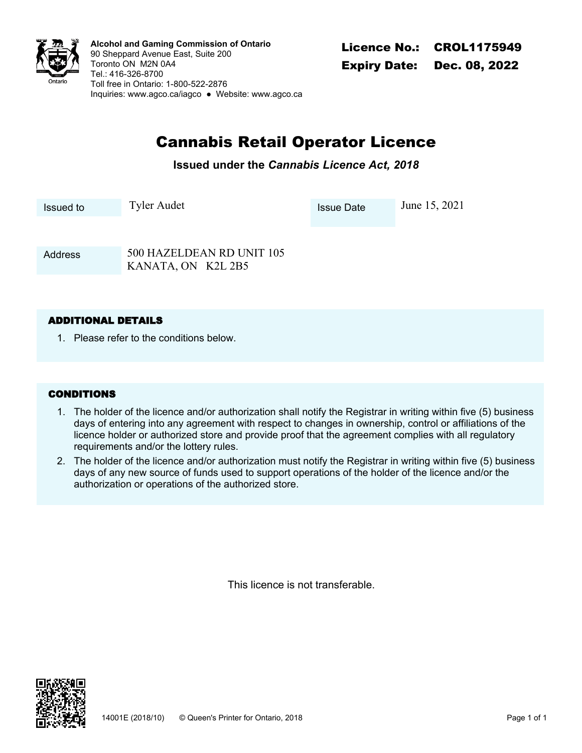

CROL1175949 **Alcohol and Gaming Commission of Ontario** 90 Sheppard Avenue East, Suite 200 Toronto ON M2N 0A4 Tel.: 416-326-8700 Toll free in Ontario: 1-800-522-2876 Inquiries: <www.agco.ca/iagco> ● Website: <www.agco.ca>

# Cannabis Retail Operator Licence

**Issued under the** *Cannabis Licence Act, 2018*

Issued to Tyler Audet Issue Date June 15, 2021

500 HAZELDEAN RD UNIT 105 KANATA, ON K2L 2B5 Address

## **ADDITIONAL DETAILS**

1. Please refer to the conditions below.

## **CONDITIONS**

- The holder of the licence and/or authorization shall notify the Registrar in writing within five (5) business 1. days of entering into any agreement with respect to changes in ownership, control or affiliations of the licence holder or authorized store and provide proof that the agreement complies with all regulatory requirements and/or the lottery rules.
- The holder of the licence and/or authorization must notify the Registrar in writing within five (5) business 2. days of any new source of funds used to support operations of the holder of the licence and/or the authorization or operations of the authorized store.

This licence is not transferable.